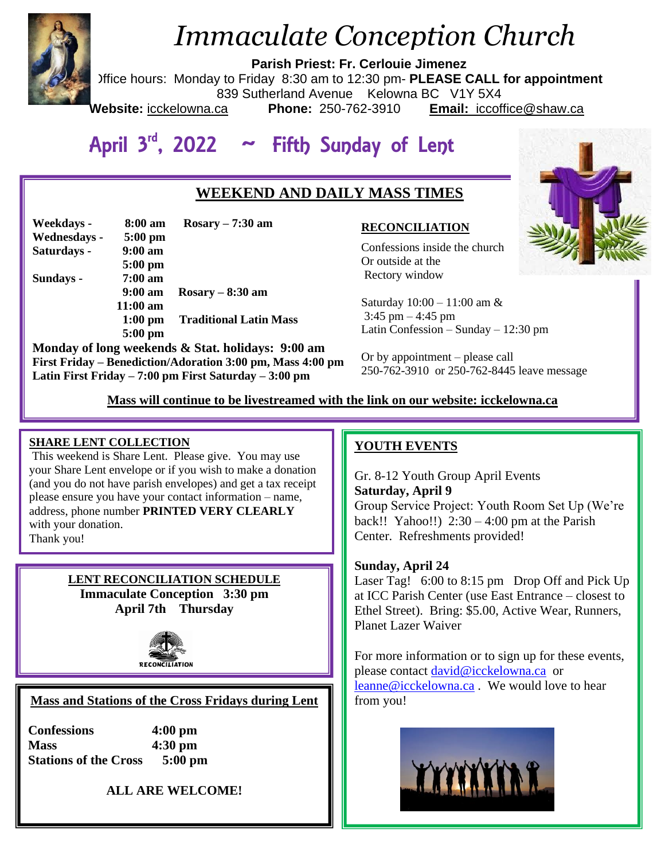

# *Immaculate Conception Church*

**Parish Priest: Fr. Cerlouie Jimenez**

Office hours: Monday to Friday 8:30 am to 12:30 pm- **PLEASE CALL for appointment**

839 Sutherland Avenue Kelowna BC V1Y 5X4

**Website:** icckelowna.ca **Phone:** 250-762-3910 **Email:** iccoffice@shaw.ca

## April 3<sup>rd</sup>, 2022 ~ Fifth Sunday of Lent

## **WEEKEND AND DAILY MASS TIMES**

| Weekdays -   | 8:00 am           | $Rosary - 7:30$ am            |
|--------------|-------------------|-------------------------------|
| Wednesdays - | $5:00$ pm         |                               |
| Saturdays -  | $9:00 \text{ am}$ |                               |
|              | $5:00$ pm         |                               |
| Sundays -    | $7:00~\text{am}$  |                               |
|              | 9:00 am           | $Rosary - 8:30 am$            |
|              | $11:00$ am        |                               |
|              | $1:00 \text{ pm}$ | <b>Traditional Latin Mass</b> |
|              | $5:00$ pm         |                               |

**Monday of long weekends & Stat. holidays: 9:00 am First Friday – Benediction/Adoration 3:00 pm, Mass 4:00 pm Latin First Friday – 7:00 pm First Saturday – 3:00 pm** 

#### **RECONCILIATION**

Confessions inside the church Or outside at the Rectory window

Saturday 10:00 – 11:00 am & 3:45 pm – 4:45 pm Latin Confession – Sunday – 12:30 pm

Or by appointment – please call 250-762-3910 or 250-762-8445 leave message

 **Mass will continue to be livestreamed with the link on our website: icckelowna.ca**

#### **SHARE LENT COLLECTION**

**THARE LENT COLLECTION**<br>This weekend is Share Lent. Please give. You may use your Share Lent envelope or if you wish to make a donation (and you do not have parish envelopes) and get a tax receipt please ensure you have your contact information – name, address, phone number **PRINTED VERY CLEARLY** with your donation. Thank you!

> **LENT RECONCILIATION SCHEDULE Immaculate Conception 3:30 pm April 7th Thursday**



#### **Mass and Stations of the Cross Fridays during Lent**

**Confessions 4:00 pm Mass 4:30 pm Stations of the Cross 5:00 pm**

**ALL ARE WELCOME!**

### **YOUTH EVENTS**

Gr. 8-12 Youth Group April Events **Saturday, April 9**  Group Service Project: Youth Room Set Up (We're back!! Yahoo!!)  $2:30 - 4:00$  pm at the Parish Center. Refreshments provided!

#### **Sunday, April 24**

Laser Tag! 6:00 to 8:15 pm Drop Off and Pick Up at ICC Parish Center (use East Entrance – closest to Ethel Street). Bring: \$5.00, Active Wear, Runners, Planet Lazer Waiver

For more information or to sign up for these events, please contact [david@icckelowna.ca](mailto:david@icckelowna.ca) or [leanne@icckelowna.ca](mailto:leanne@icckelowna.ca) . We would love to hear from you!



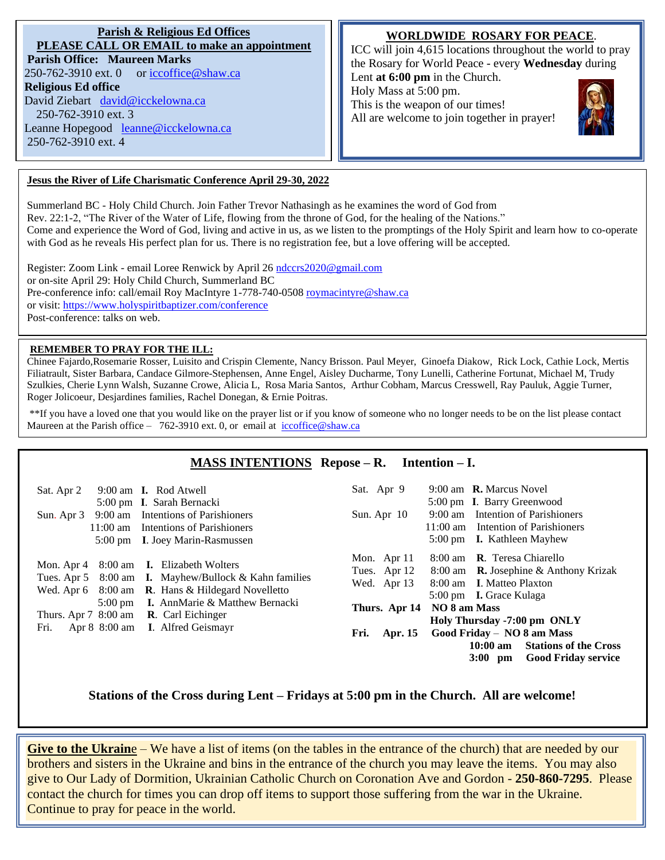#### **Parish & Religious Ed Offices PLEASE CALL OR EMAIL to make an appointment Parish Office: Maureen Marks**  250-762-3910 ext. 0 or [iccoffice@shaw.ca](mailto:iccoffice@shaw.ca) **Religious Ed office** David Ziebart [david@icckelowna.ca](mailto:david@icckelowna.ca)  250-762-3910 ext. 3 Leanne Hopegood [leanne@icckelowna.ca](mailto:leanne@icckelowna.ca) 250-762-3910 ext. 4

#### **WORLDWIDE ROSARY FOR PEACE**.

ICC will join 4,615 locations throughout the world to pray the Rosary for World Peace - every **Wednesday** during

Lent **at 6:00 pm** in the Church. Holy Mass at 5:00 pm.

This is the weapon of our times! All are welcome to join together in prayer!



#### **Jesus the River of Life Charismatic Conference April 29-30, 2022**

Summerland BC - Holy Child Church. Join Father Trevor Nathasingh as he examines the word of God from Rev. 22:1-2, "The River of the Water of Life, flowing from the throne of God, for the healing of the Nations." Come and experience the Word of God, living and active in us, as we listen to the promptings of the Holy Spirit and learn how to co-operate with God as he reveals His perfect plan for us. There is no registration fee, but a love offering will be accepted.

Register: Zoom Link - email Loree Renwick by April 26 [ndccrs2020@gmail.com](mailto:ndccrs2020@gmail.com) or on-site April 29: Holy Child Church, Summerland BC Pre-conference info: call/email Roy MacIntyre 1-778-740-0508 [roymacintyre@shaw.ca](mailto:roymacintyre@shaw.ca) or visit:<https://www.holyspiritbaptizer.com/conference> Post-conference: talks on web.

#### **REMEMBER TO PRAY FOR THE ILL:**

l

Chinee Fajardo,Rosemarie Rosser, Luisito and Crispin Clemente, Nancy Brisson. Paul Meyer, Ginoefa Diakow, Rick Lock, Cathie Lock, Mertis Filiatrault, Sister Barbara, Candace Gilmore-Stephensen, Anne Engel, Aisley Ducharme, Tony Lunelli, Catherine Fortunat, Michael M, Trudy Szulkies, Cherie Lynn Walsh, Suzanne Crowe, Alicia L, Rosa Maria Santos, Arthur Cobham, Marcus Cresswell, Ray Pauluk, Aggie Turner, Roger Jolicoeur, Desjardines families, Rachel Donegan, & Ernie Poitras.

\*\*If you have a loved one that you would like on the prayer list or if you know of someone who no longer needs to be on the list please contact Maureen at the Parish office – 762-3910 ext. 0, or email at iccoffice@shaw.ca

#### **MASS INTENTIONS Repose – R. Intention – I.**

| 9:00 am <b>I.</b> Rod Atwell                                                                                                                                                                                                                                                                                        | 9:00 am <b>R.</b> Marcus Novel                                                                                                                                                                                                                                                                                                                                                                                |
|---------------------------------------------------------------------------------------------------------------------------------------------------------------------------------------------------------------------------------------------------------------------------------------------------------------------|---------------------------------------------------------------------------------------------------------------------------------------------------------------------------------------------------------------------------------------------------------------------------------------------------------------------------------------------------------------------------------------------------------------|
| Sat. Apr 2                                                                                                                                                                                                                                                                                                          | Sat. Apr 9                                                                                                                                                                                                                                                                                                                                                                                                    |
| 5:00 pm I. Sarah Bernacki                                                                                                                                                                                                                                                                                           | 5:00 pm I. Barry Greenwood                                                                                                                                                                                                                                                                                                                                                                                    |
| 9:00 am Intentions of Parishioners                                                                                                                                                                                                                                                                                  | 9:00 am Intention of Parishioners                                                                                                                                                                                                                                                                                                                                                                             |
| Sun. Apr 3                                                                                                                                                                                                                                                                                                          | Sun. Apr 10                                                                                                                                                                                                                                                                                                                                                                                                   |
| 11:00 am Intentions of Parishioners                                                                                                                                                                                                                                                                                 | 11:00 am Intention of Parishioners                                                                                                                                                                                                                                                                                                                                                                            |
| 5:00 pm I. Joey Marin-Rasmussen                                                                                                                                                                                                                                                                                     | 5:00 pm <b>I.</b> Kathleen Mayhew                                                                                                                                                                                                                                                                                                                                                                             |
| 8:00 am <b>I.</b> Elizabeth Wolters<br>Mon. Apr 4<br>Tues. Apr 5 $8:00$ am <b>I.</b> Mayhew/Bullock & Kahn families<br>Wed. Apr 6 8:00 am R. Hans & Hildegard Novelletto<br>5:00 pm I. AnnMarie & Matthew Bernacki<br>Thurs. Apr $7\,8:00$ am <b>R</b> . Carl Eichinger<br>Apr 8 8:00 am I. Alfred Geismayr<br>Fri. | 8:00 am <b>R</b> . Teresa Chiarello<br>Mon. Apr 11<br>8:00 am <b>R.</b> Josephine & Anthony Krizak<br>Tues. Apr 12<br>8:00 am I. Matteo Plaxton<br>Wed. Apr 13<br>5:00 pm <b>I.</b> Grace Kulaga<br>NO 8 am Mass<br>Thurs. Apr 14<br>Holy Thursday -7:00 pm ONLY<br>Good Friday - NO 8 am Mass<br>Fri.<br><b>Apr. 15</b><br>$10:00 \text{ am}$<br><b>Stations of the Cross</b><br>3:00 pm Good Friday service |

Stations of the Cross during Lent – Fridays at 5:00 pm in the Church. All are welcome!

**Give to the Ukraine** – We have a list of items (on the tables in the entrance of the church) that are needed by our brothers and sisters in the Ukraine and bins in the entrance of the church you may leave the items. You may also give to Our Lady of Dormition, Ukrainian Catholic Church on Coronation Ave and Gordon - **250-860-7295**. Please contact the church for times you can drop off items to support those suffering from the war in the Ukraine. Continue to pray for peace in the world.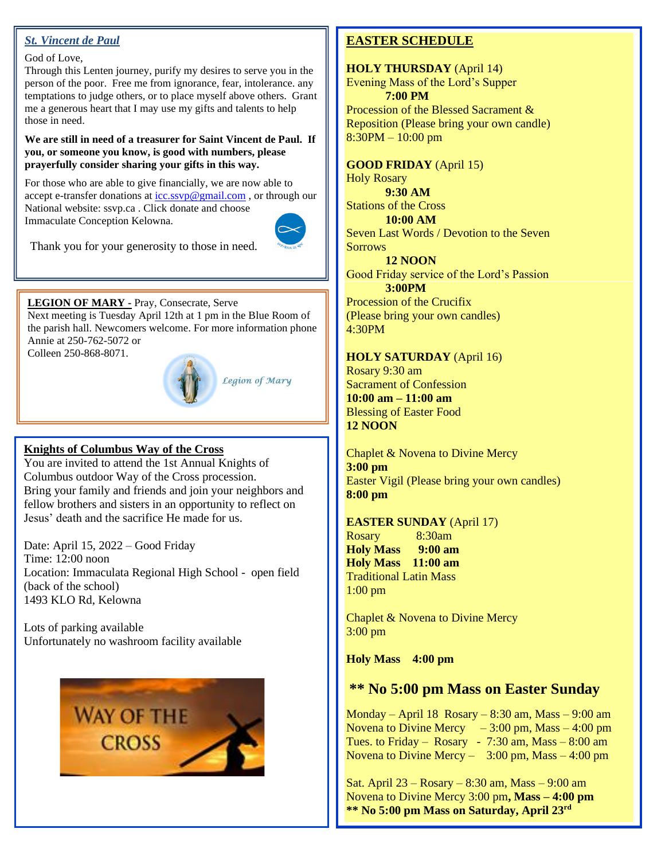#### *St. Vincent de Paul*

## God of Love,

Through this Lenten journey, purify my desires to serve you in the person of the poor. Free me from ignorance, fear, intolerance. any temptations to judge others, or to place myself above others. Grant me a generous heart that I may use my gifts and talents to help those in need.

**We are still in need of a treasurer for Saint Vincent de Paul. If you, or someone you know, is good with numbers, please prayerfully consider sharing your gifts in this way.**

For those who are able to give financially, we are now able to accept e-transfer donations a[t icc.ssvp@gmail.com](mailto:icc.ssvp@gmail.com), or through our National website: ssvp.ca . Click donate and choose Immaculate Conception Kelowna.



Thank you for your generosity to those in need.

#### **LEGION OF MARY -** Pray, Consecrate, Serve

Next meeting is Tuesday April 12th at 1 pm in the Blue Room of the parish hall. Newcomers welcome. For more information phone Annie at 250-762-5072 or

Colleen 250-868-8071.



Legion of Mary

#### **Knights of Columbus Way of the Cross**

You are invited to attend the 1st Annual Knights of Columbus outdoor Way of the Cross procession. Bring your family and friends and join your neighbors and fellow brothers and sisters in an opportunity to reflect on Jesus' death and the sacrifice He made for us.

Date: April 15, 2022 – Good Friday Time: 12:00 noon Location: Immaculata Regional High School - open field (back of the school) 1493 KLO Rd, Kelowna

Lots of parking available Unfortunately no washroom facility available



#### **EASTER SCHEDULE**

**HOLY THURSDAY** (April 14) Evening Mass of the Lord's Supper **7:00 PM** 

Procession of the Blessed Sacrament & Reposition (Please bring your own candle) 8:30PM – 10:00 pm

**GOOD FRIDAY** (April 15) Holy Rosary **9:30 AM**  Stations of the Cross **10:00 AM**  Seven Last Words / Devotion to the Seven **Sorrows** 

**12 NOON**  Good Friday service of the Lord's Passion **3:00PM**  Procession of the Crucifix

(Please bring your own candles) 4:30PM

#### **HOLY SATURDAY** (April 16)

Rosary 9:30 am Sacrament of Confession **10:00 am – 11:00 am** Blessing of Easter Food **12 NOON** 

Chaplet & Novena to Divine Mercy **3:00 pm** Easter Vigil (Please bring your own candles) **8:00 pm**

#### **EASTER SUNDAY** (April 17)

Rosary 8:30am **Holy Mass 9:00 am Holy Mass 11:00 am** Traditional Latin Mass 1:00 pm

Chaplet & Novena to Divine Mercy 3:00 pm

**Holy Mass 4:00 pm**

## **\*\* No 5:00 pm Mass on Easter Sunday**

Monday – April 18 Rosary – 8:30 am, Mass – 9:00 am Novena to Divine Mercy  $-3:00$  pm, Mass  $-4:00$  pm Tues. to Friday – Rosary - 7:30 am, Mass –  $8:00$  am Novena to Divine Mercy  $-$  3:00 pm, Mass  $-$  4:00 pm

Sat. April 23 – Rosary – 8:30 am, Mass – 9:00 am Novena to Divine Mercy 3:00 pm**, Mass – 4:00 pm \*\* No 5:00 pm Mass on Saturday, April 23rd**